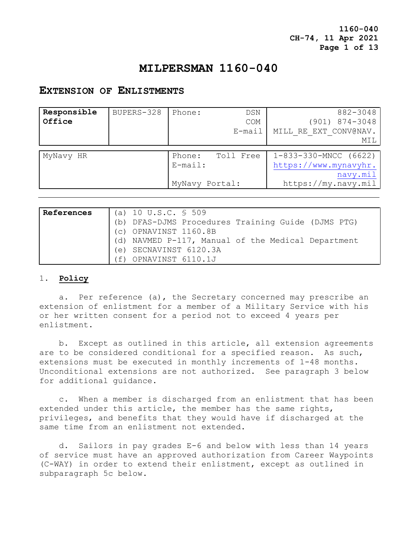**1160-040 CH-74, 11 Apr 2021 Page 1 of 13**

# **MILPERSMAN 1160-040**

# **EXTENSION OF ENLISTMENTS**

| Responsible<br>Office | BUPERS-328 | Phone:                                 | DSN<br><b>COM</b><br>E-mail | 882-3048<br>$(901)$ $874 - 3048$<br>MILL RE EXT CONV@NAV.<br>MIL                    |
|-----------------------|------------|----------------------------------------|-----------------------------|-------------------------------------------------------------------------------------|
| MyNavy HR             |            | Phone:<br>$E$ -mail:<br>MyNavy Portal: | Toll Free                   | $1-833-330-MNCC$ (6622)<br>https://www.mynavyhr.<br>navy.mil<br>https://my.navy.mil |

| References | (a) 10 U.S.C. $\frac{1}{5}$ 509                    |
|------------|----------------------------------------------------|
|            | (b) DFAS-DJMS Procedures Training Guide (DJMS PTG) |
|            | (c) OPNAVINST 1160.8B                              |
|            | (d) NAVMED P-117, Manual of the Medical Department |
|            | (e) SECNAVINST 6120.3A                             |
|            | (f) OPNAVINST 6110.1J                              |

### 1. **Policy**

 a. Per reference (a), the Secretary concerned may prescribe an extension of enlistment for a member of a Military Service with his or her written consent for a period not to exceed 4 years per enlistment.

 b. Except as outlined in this article, all extension agreements are to be considered conditional for a specified reason. As such, extensions must be executed in monthly increments of 1-48 months. Unconditional extensions are not authorized. See paragraph 3 below for additional guidance.

c. When a member is discharged from an enlistment that has been extended under this article, the member has the same rights, privileges, and benefits that they would have if discharged at the same time from an enlistment not extended.

 d. Sailors in pay grades E-6 and below with less than 14 years of service must have an approved authorization from Career Waypoints (C-WAY) in order to extend their enlistment, except as outlined in subparagraph 5c below.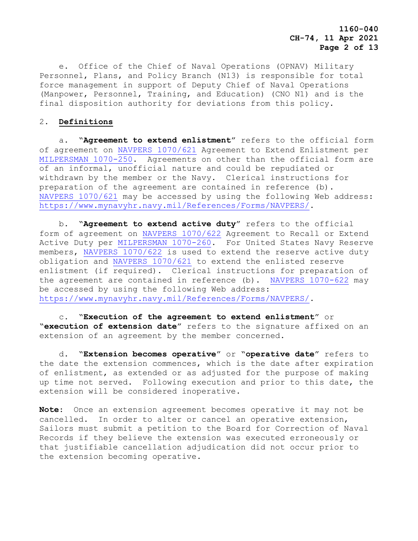e. Office of the Chief of Naval Operations (OPNAV) Military Personnel, Plans, and Policy Branch (N13) is responsible for total force management in support of Deputy Chief of Naval Operations (Manpower, Personnel, Training, and Education) (CNO N1) and is the final disposition authority for deviations from this policy.

## 2. **Definitions**

 a. "**Agreement to extend enlistment**" refers to the official form of agreement on [NAVPERS 1070/621](https://www.mynavyhr.navy.mil/Portals/55/Reference/Forms/NAVPERS/NAVPERS_1070-621_Rev01-00.pdf?ver=HO1U0gwLSSaIa0hTqbVFyA%3d%3d) Agreement to Extend Enlistment per [MILPERSMAN 1070-250.](https://www.mynavyhr.navy.mil/Portals/55/Reference/MILPERSMAN/1000/1000General/1070-250.pdf?ver=VL0d-5l8nNsrMXxQTohRCg%3d%3d) Agreements on other than the official form are of an informal, unofficial nature and could be repudiated or withdrawn by the member or the Navy. Clerical instructions for preparation of the agreement are contained in reference (b). [NAVPERS 1070/621](https://www.mynavyhr.navy.mil/Portals/55/Reference/Forms/NAVPERS/NAVPERS_1070-621_Rev01-00.pdf?ver=HO1U0gwLSSaIa0hTqbVFyA%3d%3d) may be accessed by using the following Web address: [https://www.mynavyhr.navy.mil/References/Forms/NAVPERS/.](https://www.mynavyhr.navy.mil/References/Forms/NAVPERS/)

 b. "**Agreement to extend active duty**" refers to the official form of agreement on [NAVPERS 1070/622](https://www.mynavyhr.navy.mil/Portals/55/Reference/Forms/NAVPERS/NAVPERS_1070-622_Rev08-07.pdf?ver=nDUBd4pnxn97EwC7VKiukA%3d%3d) Agreement to Recall or Extend Active Duty per [MILPERSMAN 1070-260.](https://www.mynavyhr.navy.mil/Portals/55/Reference/MILPERSMAN/1000/1000General/1070-260.pdf?ver=TeqIUNfpCH0fyFAhqRrYFQ%3d%3d) For United States Navy Reserve members, [NAVPERS 1070/622](https://www.mynavyhr.navy.mil/Portals/55/Reference/Forms/NAVPERS/NAVPERS_1070-622_Rev08-07.pdf?ver=nDUBd4pnxn97EwC7VKiukA%3d%3d) is used to extend the reserve active duty obligation and [NAVPERS 1070/621](https://www.mynavyhr.navy.mil/Portals/55/Reference/Forms/NAVPERS/NAVPERS_1070-621_Rev01-00.pdf?ver=HO1U0gwLSSaIa0hTqbVFyA%3d%3d) to extend the enlisted reserve enlistment (if required). Clerical instructions for preparation of the agreement are contained in reference (b). [NAVPERS 1070-622](https://www.mynavyhr.navy.mil/Portals/55/Reference/Forms/NAVPERS/NAVPERS_1070-622_Rev08-07.pdf?ver=nDUBd4pnxn97EwC7VKiukA%3d%3d) may be accessed by using the following Web address: [https://www.mynavyhr.navy.mil/References/Forms/NAVPERS/.](https://www.mynavyhr.navy.mil/References/Forms/NAVPERS/)

 c. "**Execution of the agreement to extend enlistment**" or "**execution of extension date**" refers to the signature affixed on an extension of an agreement by the member concerned.

 d. "**Extension becomes operative**" or "**operative date**" refers to the date the extension commences, which is the date after expiration of enlistment, as extended or as adjusted for the purpose of making up time not served. Following execution and prior to this date, the extension will be considered inoperative.

**Note**: Once an extension agreement becomes operative it may not be cancelled. In order to alter or cancel an operative extension, Sailors must submit a petition to the Board for Correction of Naval Records if they believe the extension was executed erroneously or that justifiable cancellation adjudication did not occur prior to the extension becoming operative.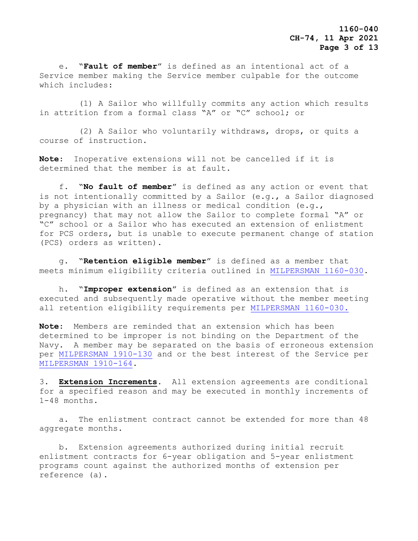e. "**Fault of member**" is defined as an intentional act of a Service member making the Service member culpable for the outcome which includes:

 (1) A Sailor who willfully commits any action which results in attrition from a formal class "A" or "C" school; or

 (2) A Sailor who voluntarily withdraws, drops, or quits a course of instruction.

**Note**: Inoperative extensions will not be cancelled if it is determined that the member is at fault**.**

 f. "**No fault of member**" is defined as any action or event that is not intentionally committed by a Sailor (e.g., a Sailor diagnosed by a physician with an illness or medical condition (e.g., pregnancy) that may not allow the Sailor to complete formal "A" or "C" school or a Sailor who has executed an extension of enlistment for PCS orders, but is unable to execute permanent change of station (PCS) orders as written).

 g. "**Retention eligible member**" is defined as a member that meets minimum eligibility criteria outlined in [MILPERSMAN 1160-030.](https://www.mynavyhr.navy.mil/Portals/55/Reference/MILPERSMAN/1000/1100Recruiting/1160-030.pdf?ver=BcdQWwyqdWvBwgO11kPxWg%3d%3d)

 h. "**Improper extension**" is defined as an extension that is executed and subsequently made operative without the member meeting all retention eligibility requirements per [MILPERSMAN 1160-030.](https://www.mynavyhr.navy.mil/Portals/55/Reference/MILPERSMAN/1000/1100Recruiting/1160-030.pdf?ver=BcdQWwyqdWvBwgO11kPxWg%3d%3d)

**Note**: Members are reminded that an extension which has been determined to be improper is not binding on the Department of the Navy. A member may be separated on the basis of erroneous extension per [MILPERSMAN 1910-130](https://www.mynavyhr.navy.mil/Portals/55/Reference/MILPERSMAN/1000/1900Separation/1910-130.pdf?ver=TE6IF1xZEOYYZsagyh-GaA%3d%3d) and or the best interest of the Service per [MILPERSMAN 1910-164.](https://www.mynavyhr.navy.mil/Portals/55/Reference/MILPERSMAN/1000/1900Separation/1910-164.pdf?ver=kJpE1K0tJSUSz5si8JcF6A%3d%3d)

3. **Extension Increments.** All extension agreements are conditional for a specified reason and may be executed in monthly increments of 1-48 months.

 a. The enlistment contract cannot be extended for more than 48 aggregate months.

 b. Extension agreements authorized during initial recruit enlistment contracts for 6-year obligation and 5-year enlistment programs count against the authorized months of extension per reference (a).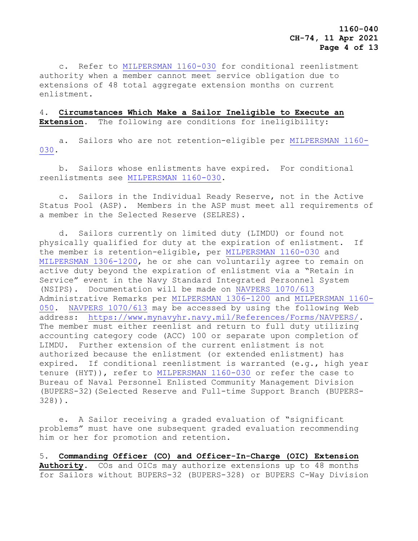**1160-040 CH-74, 11 Apr 2021 Page 4 of 13**

 c. Refer to [MILPERSMAN 1160-030](https://www.mynavyhr.navy.mil/Portals/55/Reference/MILPERSMAN/1000/1100Recruiting/1160-030.pdf?ver=BcdQWwyqdWvBwgO11kPxWg%3d%3d) for conditional reenlistment authority when a member cannot meet service obligation due to extensions of 48 total aggregate extension months on current enlistment.

4. **Circumstances Which Make a Sailor Ineligible to Execute an Extension**. The following are conditions for ineligibility:

 a. Sailors who are not retention-eligible per [MILPERSMAN 1160-](https://www.mynavyhr.navy.mil/Portals/55/Reference/MILPERSMAN/1000/1100Recruiting/1160-030.pdf?ver=BcdQWwyqdWvBwgO11kPxWg%3d%3d) [030.](https://www.mynavyhr.navy.mil/Portals/55/Reference/MILPERSMAN/1000/1100Recruiting/1160-030.pdf?ver=BcdQWwyqdWvBwgO11kPxWg%3d%3d)

 b. Sailors whose enlistments have expired. For conditional reenlistments see [MILPERSMAN 1160-030.](https://www.mynavyhr.navy.mil/Portals/55/Reference/MILPERSMAN/1000/1100Recruiting/1160-030.pdf?ver=BcdQWwyqdWvBwgO11kPxWg%3d%3d)

 c. Sailors in the Individual Ready Reserve, not in the Active Status Pool (ASP). Members in the ASP must meet all requirements of a member in the Selected Reserve (SELRES).

 d**.** Sailors currently on limited duty (LIMDU) or found not physically qualified for duty at the expiration of enlistment. If the member is retention-eligible, per [MILPERSMAN 1160-030](https://www.mynavyhr.navy.mil/Portals/55/Reference/MILPERSMAN/1000/1100Recruiting/1160-030.pdf?ver=BcdQWwyqdWvBwgO11kPxWg%3d%3d) and [MILPERSMAN](https://www.mynavyhr.navy.mil/References/MILPERSMAN/1000-Military-Personnel/1300-Assignment/) 1306-1200, he or she can voluntarily agree to remain on active duty beyond the expiration of enlistment via a "Retain in Service" event in the Navy Standard Integrated Personnel System (NSIPS). Documentation will be made on [NAVPERS 1070/613](https://www.mynavyhr.navy.mil/Portals/55/Reference/Forms/NAVPERS/NAVPERS_1070-613_Rev08-12.pdf?ver=sJZzuypEPsMb9rUzfv3uuQ%3d%3d) Administrative Remarks per [MILPERSMAN 1306-1200](https://www.mynavyhr.navy.mil/References/MILPERSMAN/1000-Military-Personnel/1300-Assignment/) and [MILPERSMAN 1160-](https://www.mynavyhr.navy.mil/Portals/55/Reference/MILPERSMAN/1000/1100Recruiting/1160-050.pdf?ver=pVxCQZ2QF197PNiLSBuUmQ%3d%3d) [050.](https://www.mynavyhr.navy.mil/Portals/55/Reference/MILPERSMAN/1000/1100Recruiting/1160-050.pdf?ver=pVxCQZ2QF197PNiLSBuUmQ%3d%3d) [NAVPERS 1070/613](https://www.mynavyhr.navy.mil/Portals/55/Reference/Forms/NAVPERS/NAVPERS_1070-613_Rev08-12.pdf?ver=sJZzuypEPsMb9rUzfv3uuQ%3d%3d) may be accessed by using the following Web address: [https://www.mynavyhr.navy.mil/References/Forms/NAVPERS/.](https://www.mynavyhr.navy.mil/References/Forms/NAVPERS/) The member must either reenlist and return to full duty utilizing accounting category code (ACC) 100 or separate upon completion of LIMDU. Further extension of the current enlistment is not authorized because the enlistment (or extended enlistment) has expired. If conditional reenlistment is warranted (e.g., high year tenure (HYT)), refer to [MILPERSMAN 1160-030](https://www.mynavyhr.navy.mil/Portals/55/Reference/MILPERSMAN/1000/1100Recruiting/1160-030.pdf?ver=BcdQWwyqdWvBwgO11kPxWg%3d%3d) or refer the case to Bureau of Naval Personnel Enlisted Community Management Division (BUPERS-32)(Selected Reserve and Full-time Support Branch (BUPERS-328)).

 e. A Sailor receiving a graded evaluation of "significant problems" must have one subsequent graded evaluation recommending him or her for promotion and retention**.**

5. **Commanding Officer (CO) and Officer-In-Charge (OIC) Extension Authority**. COs and OICs may authorize extensions up to 48 months for Sailors without BUPERS-32 (BUPERS-328) or BUPERS C-Way Division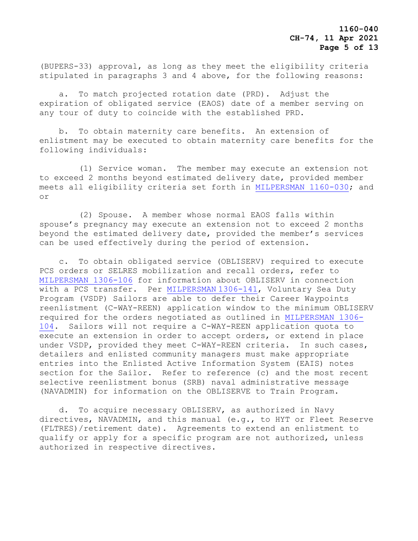(BUPERS-33) approval, as long as they meet the eligibility criteria stipulated in paragraphs 3 and 4 above, for the following reasons:

 a. To match projected rotation date (PRD). Adjust the expiration of obligated service (EAOS) date of a member serving on any tour of duty to coincide with the established PRD.

 b. To obtain maternity care benefits.An extension of enlistment may be executed to obtain maternity care benefits for the following individuals:

 (1) Service woman.The member may execute an extension not to exceed 2 months beyond estimated delivery date, provided member meets all eligibility criteria set forth in [MILPERSMAN 1160-030;](https://www.mynavyhr.navy.mil/Portals/55/Reference/MILPERSMAN/1000/1100Recruiting/1160-030.pdf?ver=BcdQWwyqdWvBwgO11kPxWg%3d%3d) and or

 (2) Spouse. A member whose normal EAOS falls within spouse's pregnancy may execute an extension not to exceed 2 months beyond the estimated delivery date, provided the member's services can be used effectively during the period of extension.

 c. To obtain obligated service (OBLISERV) required to execute PCS orders or SELRES mobilization and recall orders, refer to [MILPERSMAN 1306-106](https://www.mynavyhr.navy.mil/Portals/55/Reference/MILPERSMAN/1000/1300Assignment/1306-106.pdf?ver=YRatfZFX_GentqB5FjSitQ%3d%3d) for information about OBLISERV in connection with a PCS transfer. Per [MILPERSMAN](https://www.mynavyhr.navy.mil/Portals/55/Reference/MILPERSMAN/1000/1300Assignment/1306-141%20.pdf?ver=v2uoqkpzaCwH9vgM3KOSYA%3d%3d) 1306-141, Voluntary Sea Duty Program (VSDP) Sailors are able to defer their Career Waypoints reenlistment (C-WAY-REEN) application window to the minimum OBLISERV required for the orders negotiated as outlined in [MILPERSMAN 1306-](https://www.mynavyhr.navy.mil/Portals/55/Reference/MILPERSMAN/1000/1300Assignment/1306-104%20.pdf?ver=mufxXpEx2_3Zm_lwc-1Ifw%3d%3d) [104.](https://www.mynavyhr.navy.mil/Portals/55/Reference/MILPERSMAN/1000/1300Assignment/1306-104%20.pdf?ver=mufxXpEx2_3Zm_lwc-1Ifw%3d%3d) Sailors will not require a C-WAY-REEN application quota to execute an extension in order to accept orders, or extend in place under VSDP, provided they meet C-WAY-REEN criteria. In such cases, detailers and enlisted community managers must make appropriate entries into the Enlisted Active Information System (EAIS) notes section for the Sailor. Refer to reference (c) and the most recent selective reenlistment bonus (SRB) naval administrative message (NAVADMIN) for information on the OBLISERVE to Train Program.

 d. To acquire necessary OBLISERV, as authorized in Navy directives, NAVADMIN, and this manual (e.g., to HYT or Fleet Reserve (FLTRES)/retirement date). Agreements to extend an enlistment to qualify or apply for a specific program are not authorized, unless authorized in respective directives.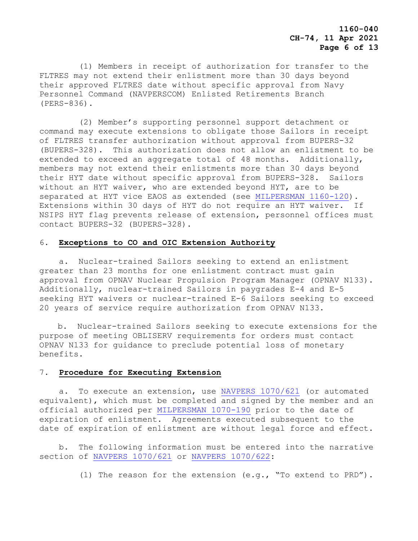**1160-040 CH-74, 11 Apr 2021 Page 6 of 13**

 (1) Members in receipt of authorization for transfer to the FLTRES may not extend their enlistment more than 30 days beyond their approved FLTRES date without specific approval from Navy Personnel Command (NAVPERSCOM) Enlisted Retirements Branch (PERS-836).

 (2) Member's supporting personnel support detachment or command may execute extensions to obligate those Sailors in receipt of FLTRES transfer authorization without approval from BUPERS-32 (BUPERS-328). This authorization does not allow an enlistment to be extended to exceed an aggregate total of 48 months. Additionally, members may not extend their enlistments more than 30 days beyond their HYT date without specific approval from BUPERS-328. Sailors without an HYT waiver, who are extended beyond HYT, are to be separated at HYT vice EAOS as extended (see [MILPERSMAN 1160-120\)](https://www.mynavyhr.navy.mil/Portals/55/Reference/MILPERSMAN/1000/1100Recruiting/1160-120.pdf?ver=8OBC71quvITa6GY7mPFJlg%3d%3d). Extensions within 30 days of HYT do not require an HYT waiver. If NSIPS HYT flag prevents release of extension, personnel offices must contact BUPERS-32 (BUPERS-328).

#### 6. **Exceptions to CO and OIC Extension Authority**

 a. Nuclear-trained Sailors seeking to extend an enlistment greater than 23 months for one enlistment contract must gain approval from OPNAV Nuclear Propulsion Program Manager (OPNAV N133). Additionally, nuclear-trained Sailors in paygrades E-4 and E-5 seeking HYT waivers or nuclear-trained E-6 Sailors seeking to exceed 20 years of service require authorization from OPNAV N133.

b. Nuclear-trained Sailors seeking to execute extensions for the purpose of meeting OBLISERV requirements for orders must contact OPNAV N133 for guidance to preclude potential loss of monetary benefits.

## 7. **Procedure for Executing Extension**

 a. To execute an extension, use [NAVPERS 1070/621](https://www.mynavyhr.navy.mil/Portals/55/Reference/Forms/NAVPERS/NAVPERS_1070-621_Rev01-00.pdf?ver=HO1U0gwLSSaIa0hTqbVFyA%3d%3d) (or automated equivalent), which must be completed and signed by the member and an official authorized per [MILPERSMAN 1070-190](https://www.mynavyhr.navy.mil/Portals/55/Reference/MILPERSMAN/1000/1000General/1070-190.pdf?ver=RAiBU9BXO5r1HavhKykOnQ%3d%3d) prior to the date of expiration of enlistment. Agreements executed subsequent to the date of expiration of enlistment are without legal force and effect.

 b. The following information must be entered into the narrative section of [NAVPERS 1070/621](https://www.mynavyhr.navy.mil/Portals/55/Reference/Forms/NAVPERS/NAVPERS_1070-621_Rev01-00.pdf?ver=HO1U0gwLSSaIa0hTqbVFyA%3d%3d) or [NAVPERS 1070/622:](https://www.mynavyhr.navy.mil/Portals/55/Reference/Forms/NAVPERS/NAVPERS_1070-622_Rev08-07.pdf?ver=nDUBd4pnxn97EwC7VKiukA%3d%3d)

(1) The reason for the extension (e.g., "To extend to PRD").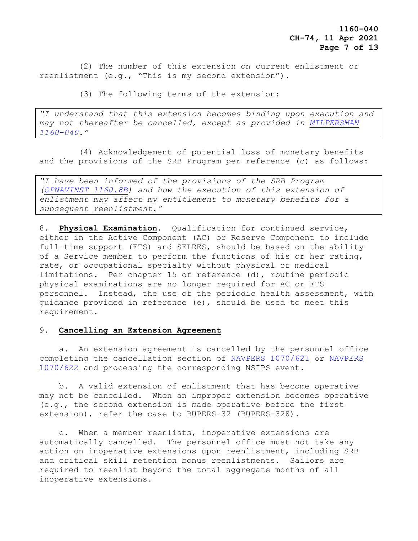**1160-040 CH-74, 11 Apr 2021 Page 7 of 13**

 (2) The number of this extension on current enlistment or reenlistment (e.g., "This is my second extension").

(3) The following terms of the extension:

*"I understand that this extension becomes binding upon execution and may not thereafter be cancelled, except as provided in [MILPERSMAN](https://www.mynavyhr.navy.mil/Portals/55/Reference/MILPERSMAN/1000/1100Recruiting/1160-040%20.pdf?ver=bT9ZfXbaK0-D-wJzgXop6Q%3d%3d)  [1160-040](https://www.mynavyhr.navy.mil/Portals/55/Reference/MILPERSMAN/1000/1100Recruiting/1160-040%20.pdf?ver=bT9ZfXbaK0-D-wJzgXop6Q%3d%3d)."*

 (4) Acknowledgement of potential loss of monetary benefits and the provisions of the SRB Program per reference (c) as follows:

*"I have been informed of the provisions of the SRB Program [\(OPNAVINST 1160.8B\)](file:///C:/Users/bruce/AppData/Local/Microsoft/Windows/INetCache/IE/H01CUCSP/OPNAVINST%201160.8B) and how the execution of this extension of enlistment may affect my entitlement to monetary benefits for a subsequent reenlistment."*

8. **Physical Examination**. Qualification for continued service, either in the Active Component (AC) or Reserve Component to include full-time support (FTS) and SELRES, should be based on the ability of a Service member to perform the functions of his or her rating, rate, or occupational specialty without physical or medical limitations. Per chapter 15 of reference (d), routine periodic physical examinations are no longer required for AC or FTS personnel. Instead, the use of the periodic health assessment, with guidance provided in reference (e), should be used to meet this requirement.

#### 9. **Cancelling an Extension Agreement**

 a. An extension agreement is cancelled by the personnel office completing the cancellation section of [NAVPERS 1070/621](https://www.mynavyhr.navy.mil/Portals/55/Reference/Forms/NAVPERS/NAVPERS_1070-621_Rev01-00.pdf?ver=HO1U0gwLSSaIa0hTqbVFyA%3d%3d) or [NAVPERS](https://www.mynavyhr.navy.mil/Portals/55/Reference/Forms/NAVPERS/NAVPERS_1070-622_Rev08-07.pdf?ver=nDUBd4pnxn97EwC7VKiukA%3d%3d)  [1070/622](https://www.mynavyhr.navy.mil/Portals/55/Reference/Forms/NAVPERS/NAVPERS_1070-622_Rev08-07.pdf?ver=nDUBd4pnxn97EwC7VKiukA%3d%3d) and processing the corresponding NSIPS event.

 b. A valid extension of enlistment that has become operative may not be cancelled. When an improper extension becomes operative (e.g., the second extension is made operative before the first extension), refer the case to BUPERS-32 (BUPERS-328).

 c. When a member reenlists, inoperative extensions are automatically cancelled.The personnel office must not take any action on inoperative extensions upon reenlistment, including SRB and critical skill retention bonus reenlistments. Sailors are required to reenlist beyond the total aggregate months of all inoperative extensions.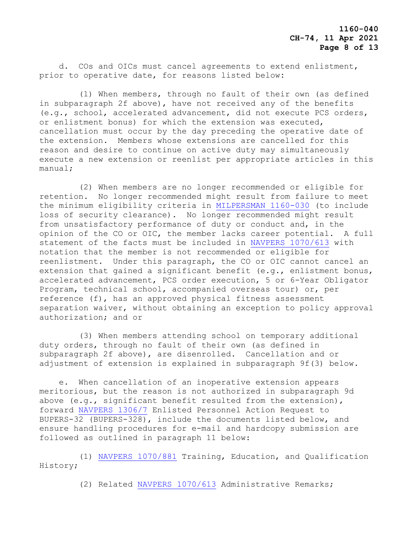d. COs and OICs must cancel agreements to extend enlistment, prior to operative date, for reasons listed below**:**

 (1) When members, through no fault of their own (as defined in subparagraph 2f above), have not received any of the benefits (e.g., school, accelerated advancement, did not execute PCS orders, or enlistment bonus) for which the extension was executed, cancellation must occur by the day preceding the operative date of the extension. Members whose extensions are cancelled for this reason and desire to continue on active duty may simultaneously execute a new extension or reenlist per appropriate articles in this manual;

 (2) When members are no longer recommended or eligible for retention. No longer recommended might result from failure to meet the minimum eligibility criteria in [MILPERSMAN 1160-030](https://www.mynavyhr.navy.mil/Portals/55/Reference/MILPERSMAN/1000/1100Recruiting/1160-030.pdf?ver=BcdQWwyqdWvBwgO11kPxWg%3d%3d) (to include loss of security clearance). No longer recommended might result from unsatisfactory performance of duty or conduct and, in the opinion of the CO or OIC, the member lacks career potential. A full statement of the facts must be included in [NAVPERS 1070/613](https://www.mynavyhr.navy.mil/Portals/55/Reference/Forms/NAVPERS/NAVPERS_1070-613_Rev08-12.pdf?ver=sJZzuypEPsMb9rUzfv3uuQ%3d%3d) with notation that the member is not recommended or eligible for reenlistment. Under this paragraph, the CO or OIC cannot cancel an extension that gained a significant benefit (e.g., enlistment bonus, accelerated advancement, PCS order execution, 5 or 6-Year Obligator Program, technical school, accompanied overseas tour) or, per reference (f), has an approved physical fitness assessment separation waiver, without obtaining an exception to policy approval authorization; and or

 (3) When members attending school on temporary additional duty orders, through no fault of their own (as defined in subparagraph 2f above), are disenrolled. Cancellation and or adjustment of extension is explained in subparagraph 9f(3) below.

 e. When cancellation of an inoperative extension appears meritorious, but the reason is not authorized in subparagraph 9d above (e.g., significant benefit resulted from the extension), forward [NAVPERS 1306/7](https://www.mynavyhr.navy.mil/Portals/55/Reference/Forms/NAVPERS/NAVPERS_1306-7_Rev08-19.pdf?ver=skmQqt91MwXgQc7vi1Ut6A%3d%3d) Enlisted Personnel Action Request to BUPERS-32 (BUPERS-328), include the documents listed below, and ensure handling procedures for e-mail and hardcopy submission are followed as outlined in paragraph 11 below:

 (1) NAVPERS [1070/881](file:///C:/Users/bruce/AppData/Local/Microsoft/Windows/INetCache/IE/H01CUCSP/NAVPERS%201070/881) Training, Education, and Qualification History;

(2) Related [NAVPERS 1070/613](https://www.mynavyhr.navy.mil/Portals/55/Reference/Forms/NAVPERS/NAVPERS_1070-613_Rev08-12.pdf?ver=sJZzuypEPsMb9rUzfv3uuQ%3d%3d) Administrative Remarks;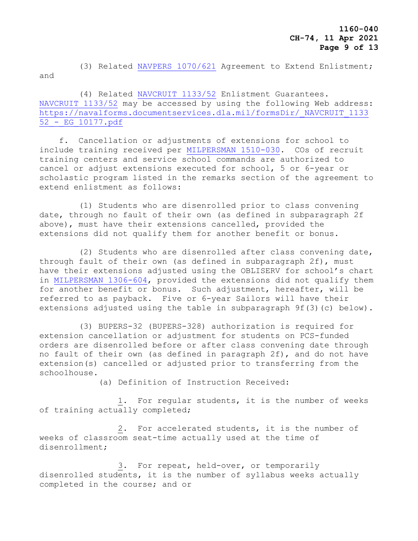(3) Related NAVPERS [1070/621](https://www.mynavyhr.navy.mil/Portals/55/Reference/Forms/NAVPERS/NAVPERS_1070-621_Rev01-00.pdf?ver=HO1U0gwLSSaIa0hTqbVFyA%3d%3d) Agreement to Extend Enlistment; and

 (4) Related [NAVCRUIT 1133/52](https://navalforms.documentservices.dla.mil/formsDir/_NAVCRUIT_1133%2052_-_EG_10177.pdf) Enlistment Guarantees. [NAVCRUIT 1133/52](https://navalforms.documentservices.dla.mil/formsDir/_NAVCRUIT_1133%2052_-_EG_10177.pdf) may be accessed by using the following Web address: [https://navalforms.documentservices.dla.mil/formsDir/\\_NAVCRUIT\\_1133](https://navalforms.documentservices.dla.mil/formsDir/_NAVCRUIT_1133%2052_-_EG_10177.pdf)  [52\\_-\\_EG\\_10177.pdf](https://navalforms.documentservices.dla.mil/formsDir/_NAVCRUIT_1133%2052_-_EG_10177.pdf)

 f. Cancellation or adjustments of extensions for school to include training received per [MILPERSMAN 1510-030.](https://www.mynavyhr.navy.mil/Portals/55/Reference/MILPERSMAN/1000/1500Training/1510-030.pdf?ver=Pne8yuej0st8rgwTfZj33A%3d%3d) COs of recruit training centers and service school commands are authorized to cancel or adjust extensions executed for school, 5 or 6-year or scholastic program listed in the remarks section of the agreement to extend enlistment as follows:

 (1) Students who are disenrolled prior to class convening date, through no fault of their own (as defined in subparagraph 2f above), must have their extensions cancelled, provided the extensions did not qualify them for another benefit or bonus.

 (2) Students who are disenrolled after class convening date, through fault of their own (as defined in subparagraph 2f), must have their extensions adjusted using the OBLISERV for school's chart in [MILPERSMAN 1306-604,](https://www.mynavyhr.navy.mil/Portals/55/Reference/MILPERSMAN/1000/1300Assignment/1306-604.pdf?ver=wosyRAzGXY9XkzKvTiiXow%3d%3d) provided the extensions did not qualify them for another benefit or bonus. Such adjustment, hereafter, will be referred to as payback. Five or 6-year Sailors will have their extensions adjusted using the table in subparagraph 9f(3)(c) below).

 (3) BUPERS-32 (BUPERS-328) authorization is required for extension cancellation or adjustment for students on PCS-funded orders are disenrolled before or after class convening date through no fault of their own (as defined in paragraph 2f), and do not have extension(s) cancelled or adjusted prior to transferring from the schoolhouse.

(a) Definition of Instruction Received:

 1. For regular students, it is the number of weeks of training actually completed;

 2. For accelerated students, it is the number of weeks of classroom seat-time actually used at the time of disenrollment;

 3. For repeat, held-over, or temporarily disenrolled students, it is the number of syllabus weeks actually completed in the course; and or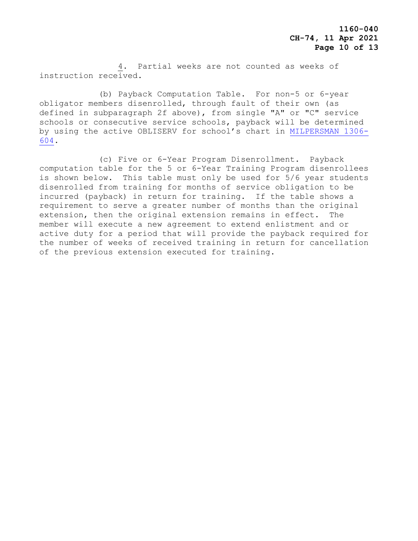4. Partial weeks are not counted as weeks of instruction received.

 (b) Payback Computation Table. For non-5 or 6-year obligator members disenrolled, through fault of their own (as defined in subparagraph 2f above), from single "A" or "C" service schools or consecutive service schools, payback will be determined by using the active OBLISERV for school's chart in [MILPERSMAN 1306-](https://www.mynavyhr.navy.mil/Portals/55/Reference/MILPERSMAN/1000/1300Assignment/1306-604.pdf?ver=wosyRAzGXY9XkzKvTiiXow%3d%3d) [604.](https://www.mynavyhr.navy.mil/Portals/55/Reference/MILPERSMAN/1000/1300Assignment/1306-604.pdf?ver=wosyRAzGXY9XkzKvTiiXow%3d%3d)

 (c) Five or 6-Year Program Disenrollment. Payback computation table for the 5 or 6-Year Training Program disenrollees is shown below. This table must only be used for 5/6 year students disenrolled from training for months of service obligation to be incurred (payback) in return for training. If the table shows a requirement to serve a greater number of months than the original extension, then the original extension remains in effect. The member will execute a new agreement to extend enlistment and or active duty for a period that will provide the payback required for the number of weeks of received training in return for cancellation of the previous extension executed for training.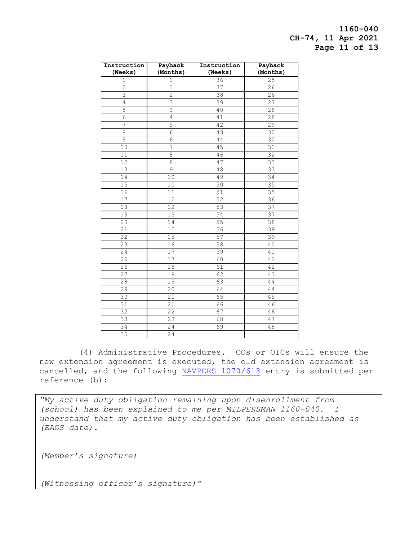**1160-040 CH-74, 11 Apr 2021 Page 11 of 13**

| Instruction    | Payback        | Instruction     | Payback         |
|----------------|----------------|-----------------|-----------------|
| (Weeks)        | (Months)       | (Weeks)         | (Months)        |
| 1              | $\mathbf 1$    | 36              | 25              |
| $\overline{c}$ | $\mathbf{1}$   | 37              | 26              |
| 3              | $\overline{c}$ | 38              | 26              |
| 4              | 3              | $\overline{39}$ | 27              |
| 5              | $\overline{3}$ | 40              | 28              |
| 6              | 4              | 41              | 28              |
| 7              | 5              | 42              | 29              |
| 8              | 6              | 43              | 30              |
| 9              | 6              | 44              | 30              |
| 10             | 7              | 45              | 31              |
| 11             | 8              | 46              | $\overline{3}2$ |
| 12             | 8              | 47              | 33              |
| 13             | 9              | 48              | 33              |
| 14             | 10             | 49              | 34              |
| 15             | 10             | 50              | 35              |
| 16             | 11             | 51              | 35              |
| 17             | 12             | $\overline{52}$ | 36              |
| 18             | 12             | 53              | $\overline{37}$ |
| 19             | 13             | 54              | 37              |
| 20             | 14             | 55              | 38              |
| 21             | 15             | 56              | 39              |
| 22             | 15             | 57              | 39              |
| 23             | 16             | 58              | 40              |
| 24             | 17             | 59              | 41              |
| 25             | 17             | 60              | 42              |
| 26             | 18             | 61              | 42              |
| 27             | 19             | 62              | 43              |
| 28             | 19             | 63              | 44              |
| 29             | 20             | 64              | 44              |
| 30             | 21             | 65              | 45              |
| 31             | 21             | 66              | 46              |
| 32             | 22             | 67              | 46              |
| 33             | 23             | 68              | 47              |
| 34             | 24             | 69              | 48              |
| 35             | 24             |                 |                 |

 (4) Administrative Procedures. COs or OICs will ensure the new extension agreement is executed, the old extension agreement is cancelled, and the following [NAVPERS 1070/613](https://www.mynavyhr.navy.mil/Portals/55/Reference/Forms/NAVPERS/NAVPERS_1070-613_Rev08-12.pdf?ver=sJZzuypEPsMb9rUzfv3uuQ%3d%3d) entry is submitted per reference (b):

*"My active duty obligation remaining upon disenrollment from (school) has been explained to me per MILPERSMAN 1160-040. I understand that my active duty obligation has been established as (EAOS date).*

*(Member's signature)* 

*(Witnessing officer's signature)"*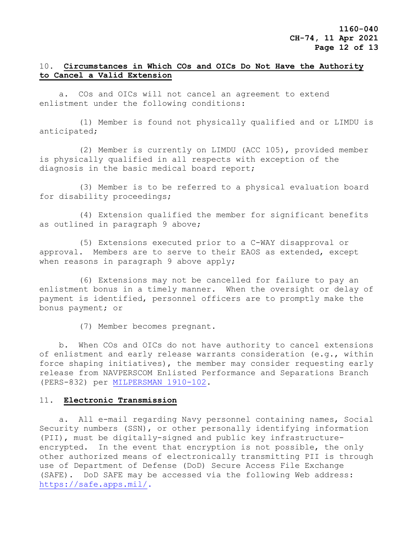# 10. **Circumstances in Which COs and OICs Do Not Have the Authority to Cancel a Valid Extension**

a. COs and OICs will not cancel an agreement to extend enlistment under the following conditions:

 (1) Member is found not physically qualified and or LIMDU is anticipated;

 (2) Member is currently on LIMDU (ACC 105), provided member is physically qualified in all respects with exception of the diagnosis in the basic medical board report;

 (3) Member is to be referred to a physical evaluation board for disability proceedings;

 (4) Extension qualified the member for significant benefits as outlined in paragraph 9 above;

 (5) Extensions executed prior to a C-WAY disapproval or approval. Members are to serve to their EAOS as extended, except when reasons in paragraph 9 above apply;

 (6) Extensions may not be cancelled for failure to pay an enlistment bonus in a timely manner. When the oversight or delay of payment is identified, personnel officers are to promptly make the bonus payment; or

(7) Member becomes pregnant.

 b. When COs and OICs do not have authority to cancel extensions of enlistment and early release warrants consideration (e.g., within force shaping initiatives), the member may consider requesting early release from NAVPERSCOM Enlisted Performance and Separations Branch (PERS-832) per [MILPERSMAN](https://www.mynavyhr.navy.mil/Portals/55/Reference/MILPERSMAN/1000/1900Separation/1910-102%20.pdf?ver=OVhVfVusGKcI5nejpCuzyQ%3d%3d) 1910-102.

#### 11. **Electronic Transmission**

 a. All e-mail regarding Navy personnel containing names, Social Security numbers (SSN), or other personally identifying information (PII), must be digitally-signed and public key infrastructureencrypted. In the event that encryption is not possible, the only other authorized means of electronically transmitting PII is through use of Department of Defense (DoD) Secure Access File Exchange (SAFE). DoD SAFE may be accessed via the following Web address: [https://safe.apps.mil/.](https://safe.apps.mil/)